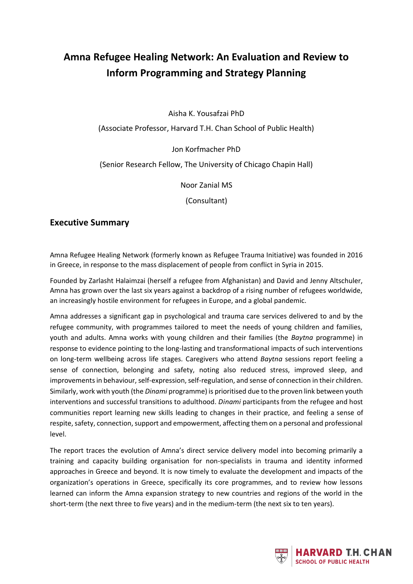## **Amna Refugee Healing Network: An Evaluation and Review to Inform Programming and Strategy Planning**

Aisha K. Yousafzai PhD

(Associate Professor, Harvard T.H. Chan School of Public Health)

Jon Korfmacher PhD

(Senior Research Fellow, The University of Chicago Chapin Hall)

Noor Zanial MS

(Consultant)

## **Executive Summary**

Amna Refugee Healing Network (formerly known as Refugee Trauma Initiative) was founded in 2016 in Greece, in response to the mass displacement of people from conflict in Syria in 2015.

Founded by Zarlasht Halaimzai (herself a refugee from Afghanistan) and David and Jenny Altschuler, Amna has grown over the last six years against a backdrop of a rising number of refugees worldwide, an increasingly hostile environment for refugees in Europe, and a global pandemic.

Amna addresses a significant gap in psychological and trauma care services delivered to and by the refugee community, with programmes tailored to meet the needs of young children and families, youth and adults. Amna works with young children and their families (the *Baytna* programme) in response to evidence pointing to the long-lasting and transformational impacts of such interventions on long-term wellbeing across life stages. Caregivers who attend *Baytna* sessions report feeling a sense of connection, belonging and safety, noting also reduced stress, improved sleep, and improvements in behaviour, self-expression, self-regulation, and sense of connection in their children. Similarly, work with youth (the *Dinami* programme) is prioritised due to the proven link between youth interventions and successful transitions to adulthood. *Dinami* participants from the refugee and host communities report learning new skills leading to changes in their practice, and feeling a sense of respite, safety, connection, support and empowerment, affecting them on a personal and professional level.

The report traces the evolution of Amna's direct service delivery model into becoming primarily a training and capacity building organisation for non-specialists in trauma and identity informed approaches in Greece and beyond. It is now timely to evaluate the development and impacts of the organization's operations in Greece, specifically its core programmes, and to review how lessons learned can inform the Amna expansion strategy to new countries and regions of the world in the short-term (the next three to five years) and in the medium-term (the next six to ten years).